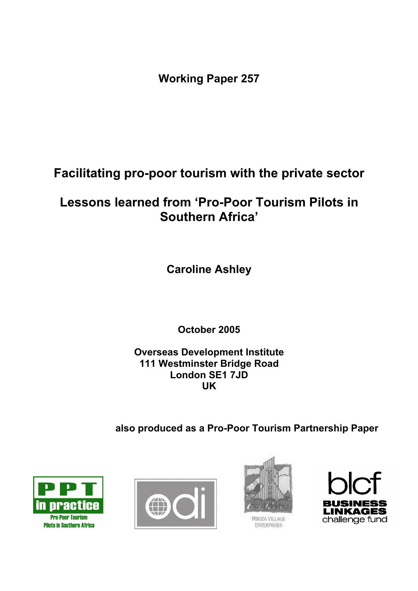**Working Paper 257** 

**Facilitating pro-poor tourism with the private sector** 

# **Lessons learned from 'Pro-Poor Tourism Pilots in Southern Africa'**

**Caroline Ashley** 

**October 2005** 

**Overseas Development Institute 111 Westminster Bridge Road London SE1 7JD UK** 

**also produced as a Pro-Poor Tourism Partnership Paper** 







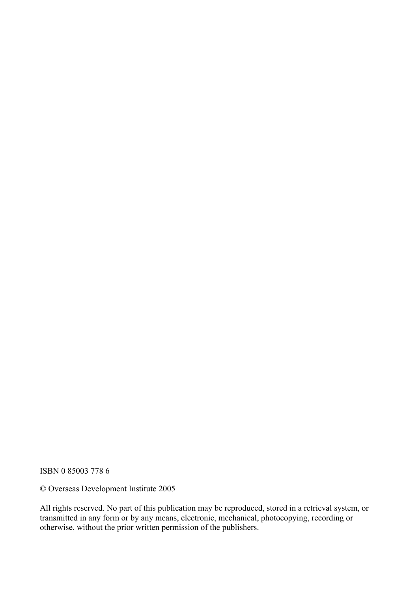ISBN 0 85003 778 6

© Overseas Development Institute 2005

All rights reserved. No part of this publication may be reproduced, stored in a retrieval system, or transmitted in any form or by any means, electronic, mechanical, photocopying, recording or otherwise, without the prior written permission of the publishers.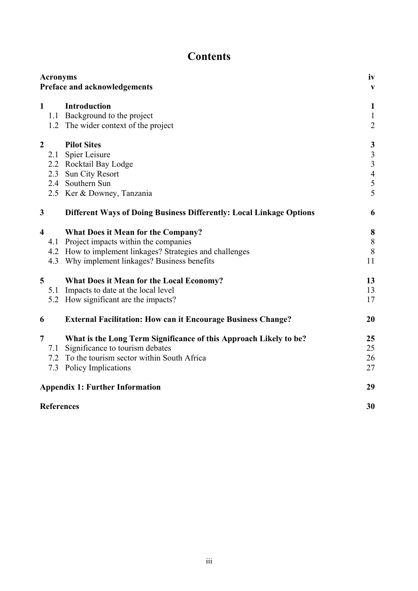## **Contents**

| <b>Acronyms</b><br>Preface and acknowledgements |     |                                                                            | iv<br>$\mathbf{V}$             |
|-------------------------------------------------|-----|----------------------------------------------------------------------------|--------------------------------|
| $\mathbf{1}$                                    |     | <b>Introduction</b>                                                        | $\mathbf{1}$                   |
|                                                 |     | 1.1 Background to the project<br>1.2 The wider context of the project      | $\mathbf{1}$<br>$\overline{2}$ |
|                                                 |     |                                                                            |                                |
| $\boldsymbol{2}$                                |     | <b>Pilot Sites</b>                                                         | $\mathbf{3}$                   |
|                                                 |     | 2.1 Spier Leisure                                                          | $\frac{3}{3}$                  |
|                                                 |     | 2.2 Rocktail Bay Lodge                                                     |                                |
|                                                 | 2.3 | Sun City Resort                                                            | $\overline{4}$                 |
|                                                 |     | 2.4 Southern Sun                                                           | 5<br>5                         |
|                                                 |     | 2.5 Ker & Downey, Tanzania                                                 |                                |
| 3                                               |     | <b>Different Ways of Doing Business Differently: Local Linkage Options</b> | 6                              |
| $\overline{\mathbf{4}}$                         |     | What Does it Mean for the Company?                                         | 8                              |
|                                                 |     | 4.1 Project impacts within the companies                                   | $\,8\,$                        |
|                                                 |     | 4.2 How to implement linkages? Strategies and challenges                   | $\, 8$                         |
|                                                 |     | 4.3 Why implement linkages? Business benefits                              | 11                             |
| 5                                               |     | What Does it Mean for the Local Economy?                                   | 13                             |
|                                                 |     | 5.1 Impacts to date at the local level                                     | 13                             |
|                                                 |     | 5.2 How significant are the impacts?                                       | 17                             |
| 6                                               |     | <b>External Facilitation: How can it Encourage Business Change?</b>        | 20                             |
| $\overline{7}$                                  |     | What is the Long Term Significance of this Approach Likely to be?          | 25                             |
|                                                 | 7.1 | Significance to tourism debates                                            | 25                             |
|                                                 |     | 7.2 To the tourism sector within South Africa                              | 26                             |
|                                                 |     | 7.3 Policy Implications                                                    | 27                             |
|                                                 |     | <b>Appendix 1: Further Information</b>                                     | 29                             |
| <b>References</b>                               |     |                                                                            | 30                             |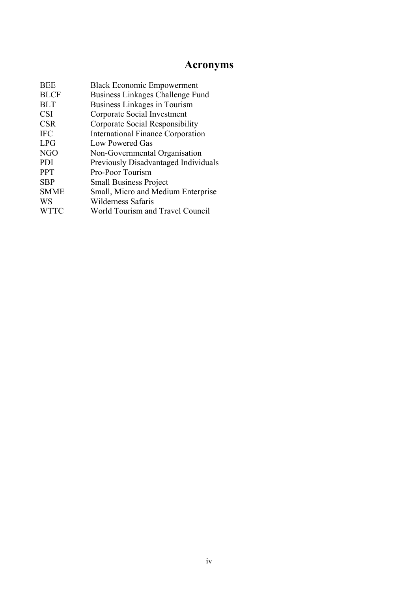## **Acronyms**

| <b>BEE</b>  | <b>Black Economic Empowerment</b>           |
|-------------|---------------------------------------------|
| <b>BLCF</b> | Business Linkages Challenge Fund            |
| <b>BLT</b>  | Business Linkages in Tourism                |
| <b>CSI</b>  | Corporate Social Investment                 |
| <b>CSR</b>  | Corporate Social Responsibility             |
| <b>IFC</b>  | <b>International Finance Corporation</b>    |
| <b>LPG</b>  | Low Powered Gas                             |
| <b>NGO</b>  | Non-Governmental Organisation               |
| <b>PDI</b>  | <b>Previously Disadvantaged Individuals</b> |
| <b>PPT</b>  | Pro-Poor Tourism                            |
| <b>SBP</b>  | <b>Small Business Project</b>               |
| <b>SMME</b> | Small, Micro and Medium Enterprise          |
| <b>WS</b>   | Wilderness Safaris                          |
| <b>WTTC</b> | World Tourism and Travel Council            |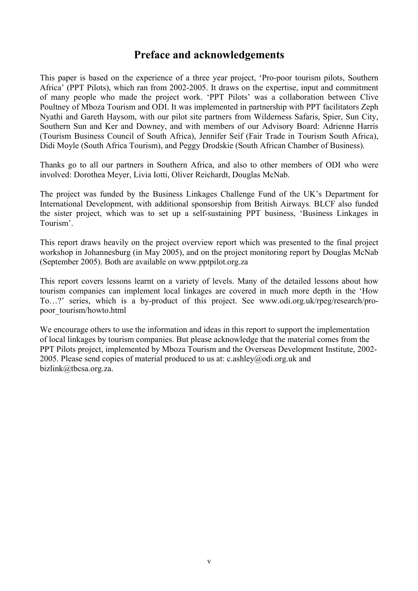## **Preface and acknowledgements**

This paper is based on the experience of a three year project, 'Pro-poor tourism pilots, Southern Africa' (PPT Pilots), which ran from 2002-2005. It draws on the expertise, input and commitment of many people who made the project work. 'PPT Pilots' was a collaboration between Clive Poultney of Mboza Tourism and ODI. It was implemented in partnership with PPT facilitators Zeph Nyathi and Gareth Haysom, with our pilot site partners from Wilderness Safaris, Spier, Sun City, Southern Sun and Ker and Downey, and with members of our Advisory Board: Adrienne Harris (Tourism Business Council of South Africa), Jennifer Seif (Fair Trade in Tourism South Africa), Didi Moyle (South Africa Tourism), and Peggy Drodskie (South African Chamber of Business).

Thanks go to all our partners in Southern Africa, and also to other members of ODI who were involved: Dorothea Meyer, Livia Iotti, Oliver Reichardt, Douglas McNab.

The project was funded by the Business Linkages Challenge Fund of the UK's Department for International Development, with additional sponsorship from British Airways. BLCF also funded the sister project, which was to set up a self-sustaining PPT business, 'Business Linkages in Tourism'.

This report draws heavily on the project overview report which was presented to the final project workshop in Johannesburg (in May 2005), and on the project monitoring report by Douglas McNab (September 2005). Both are available on www.pptpilot.org.za

This report covers lessons learnt on a variety of levels. Many of the detailed lessons about how tourism companies can implement local linkages are covered in much more depth in the 'How To…?' series, which is a by-product of this project. See www.odi.org.uk/rpeg/research/propoor\_tourism/howto.html

We encourage others to use the information and ideas in this report to support the implementation of local linkages by tourism companies. But please acknowledge that the material comes from the PPT Pilots project, implemented by Mboza Tourism and the Overseas Development Institute, 2002- 2005. Please send copies of material produced to us at: c.ashley@odi.org.uk and bizlink@tbcsa.org.za.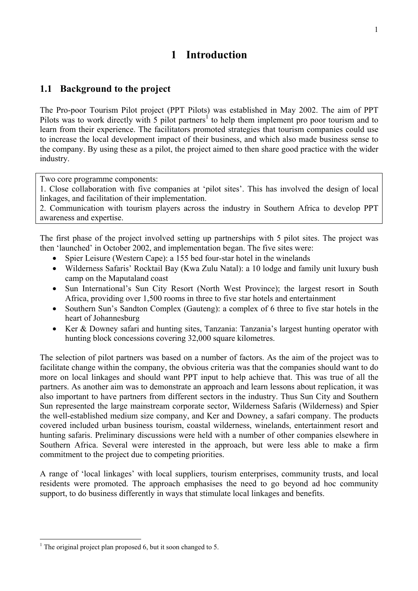## **1 Introduction**

## **1.1 Background to the project**

The Pro-poor Tourism Pilot project (PPT Pilots) was established in May 2002. The aim of PPT Pilots was to work directly with 5 pilot partners<sup>1</sup> to help them implement pro poor tourism and to learn from their experience. The facilitators promoted strategies that tourism companies could use to increase the local development impact of their business, and which also made business sense to the company. By using these as a pilot, the project aimed to then share good practice with the wider industry.

Two core programme components:

1. Close collaboration with five companies at 'pilot sites'. This has involved the design of local linkages, and facilitation of their implementation.

2. Communication with tourism players across the industry in Southern Africa to develop PPT awareness and expertise.

The first phase of the project involved setting up partnerships with 5 pilot sites. The project was then 'launched' in October 2002, and implementation began. The five sites were:

- Spier Leisure (Western Cape): a 155 bed four-star hotel in the winelands
- Wilderness Safaris' Rocktail Bay (Kwa Zulu Natal): a 10 lodge and family unit luxury bush camp on the Maputaland coast
- Sun International's Sun City Resort (North West Province); the largest resort in South Africa, providing over 1,500 rooms in three to five star hotels and entertainment
- Southern Sun's Sandton Complex (Gauteng): a complex of 6 three to five star hotels in the heart of Johannesburg
- Ker & Downey safari and hunting sites, Tanzania: Tanzania's largest hunting operator with hunting block concessions covering 32,000 square kilometres.

The selection of pilot partners was based on a number of factors. As the aim of the project was to facilitate change within the company, the obvious criteria was that the companies should want to do more on local linkages and should want PPT input to help achieve that. This was true of all the partners. As another aim was to demonstrate an approach and learn lessons about replication, it was also important to have partners from different sectors in the industry. Thus Sun City and Southern Sun represented the large mainstream corporate sector, Wilderness Safaris (Wilderness) and Spier the well-established medium size company, and Ker and Downey, a safari company. The products covered included urban business tourism, coastal wilderness, winelands, entertainment resort and hunting safaris. Preliminary discussions were held with a number of other companies elsewhere in Southern Africa. Several were interested in the approach, but were less able to make a firm commitment to the project due to competing priorities.

A range of 'local linkages' with local suppliers, tourism enterprises, community trusts, and local residents were promoted. The approach emphasises the need to go beyond ad hoc community support, to do business differently in ways that stimulate local linkages and benefits.

 $\overline{a}$ <sup>1</sup> The original project plan proposed 6, but it soon changed to 5.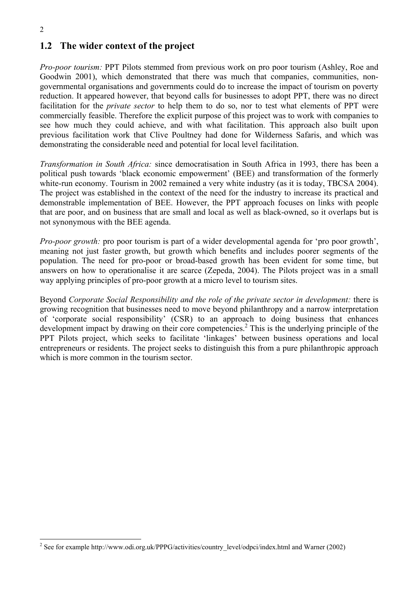$\overline{a}$ 

## **1.2 The wider context of the project**

*Pro-poor tourism:* PPT Pilots stemmed from previous work on pro poor tourism (Ashley, Roe and Goodwin 2001), which demonstrated that there was much that companies, communities, nongovernmental organisations and governments could do to increase the impact of tourism on poverty reduction. It appeared however, that beyond calls for businesses to adopt PPT, there was no direct facilitation for the *private sector* to help them to do so, nor to test what elements of PPT were commercially feasible. Therefore the explicit purpose of this project was to work with companies to see how much they could achieve, and with what facilitation. This approach also built upon previous facilitation work that Clive Poultney had done for Wilderness Safaris, and which was demonstrating the considerable need and potential for local level facilitation.

*Transformation in South Africa:* since democratisation in South Africa in 1993, there has been a political push towards 'black economic empowerment' (BEE) and transformation of the formerly white-run economy. Tourism in 2002 remained a very white industry (as it is today, TBCSA 2004). The project was established in the context of the need for the industry to increase its practical and demonstrable implementation of BEE. However, the PPT approach focuses on links with people that are poor, and on business that are small and local as well as black-owned, so it overlaps but is not synonymous with the BEE agenda.

*Pro-poor growth:* pro poor tourism is part of a wider developmental agenda for 'pro poor growth', meaning not just faster growth, but growth which benefits and includes poorer segments of the population. The need for pro-poor or broad-based growth has been evident for some time, but answers on how to operationalise it are scarce (Zepeda, 2004). The Pilots project was in a small way applying principles of pro-poor growth at a micro level to tourism sites.

Beyond *Corporate Social Responsibility and the role of the private sector in development:* there is growing recognition that businesses need to move beyond philanthropy and a narrow interpretation of 'corporate social responsibility' (CSR) to an approach to doing business that enhances development impact by drawing on their core competencies.<sup>2</sup> This is the underlying principle of the PPT Pilots project, which seeks to facilitate 'linkages' between business operations and local entrepreneurs or residents. The project seeks to distinguish this from a pure philanthropic approach which is more common in the tourism sector.

<sup>&</sup>lt;sup>2</sup> See for example http://www.odi.org.uk/PPPG/activities/country\_level/odpci/index.html and Warner (2002)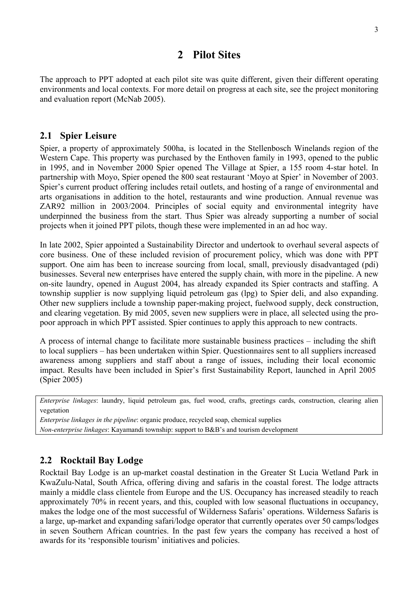## **2 Pilot Sites**

The approach to PPT adopted at each pilot site was quite different, given their different operating environments and local contexts. For more detail on progress at each site, see the project monitoring and evaluation report (McNab 2005).

#### **2.1 Spier Leisure**

Spier, a property of approximately 500ha, is located in the Stellenbosch Winelands region of the Western Cape. This property was purchased by the Enthoven family in 1993, opened to the public in 1995, and in November 2000 Spier opened The Village at Spier, a 155 room 4-star hotel. In partnership with Moyo, Spier opened the 800 seat restaurant 'Moyo at Spier' in November of 2003. Spier's current product offering includes retail outlets, and hosting of a range of environmental and arts organisations in addition to the hotel, restaurants and wine production. Annual revenue was ZAR92 million in 2003/2004. Principles of social equity and environmental integrity have underpinned the business from the start. Thus Spier was already supporting a number of social projects when it joined PPT pilots, though these were implemented in an ad hoc way.

In late 2002, Spier appointed a Sustainability Director and undertook to overhaul several aspects of core business. One of these included revision of procurement policy, which was done with PPT support. One aim has been to increase sourcing from local, small, previously disadvantaged (pdi) businesses. Several new enterprises have entered the supply chain, with more in the pipeline. A new on-site laundry, opened in August 2004, has already expanded its Spier contracts and staffing. A township supplier is now supplying liquid petroleum gas (lpg) to Spier deli, and also expanding. Other new suppliers include a township paper-making project, fuelwood supply, deck construction, and clearing vegetation. By mid 2005, seven new suppliers were in place, all selected using the propoor approach in which PPT assisted. Spier continues to apply this approach to new contracts.

A process of internal change to facilitate more sustainable business practices – including the shift to local suppliers – has been undertaken within Spier. Questionnaires sent to all suppliers increased awareness among suppliers and staff about a range of issues, including their local economic impact. Results have been included in Spier's first Sustainability Report, launched in April 2005 (Spier 2005)

*Enterprise linkages*: laundry, liquid petroleum gas, fuel wood, crafts, greetings cards, construction, clearing alien vegetation

*Enterprise linkages in the pipeline*: organic produce, recycled soap, chemical supplies *Non-enterprise linkages*: Kayamandi township: support to B&B's and tourism development

## **2.2 Rocktail Bay Lodge**

Rocktail Bay Lodge is an up-market coastal destination in the Greater St Lucia Wetland Park in KwaZulu-Natal, South Africa, offering diving and safaris in the coastal forest. The lodge attracts mainly a middle class clientele from Europe and the US. Occupancy has increased steadily to reach approximately 70% in recent years, and this, coupled with low seasonal fluctuations in occupancy, makes the lodge one of the most successful of Wilderness Safaris' operations. Wilderness Safaris is a large, up-market and expanding safari/lodge operator that currently operates over 50 camps/lodges in seven Southern African countries. In the past few years the company has received a host of awards for its 'responsible tourism' initiatives and policies.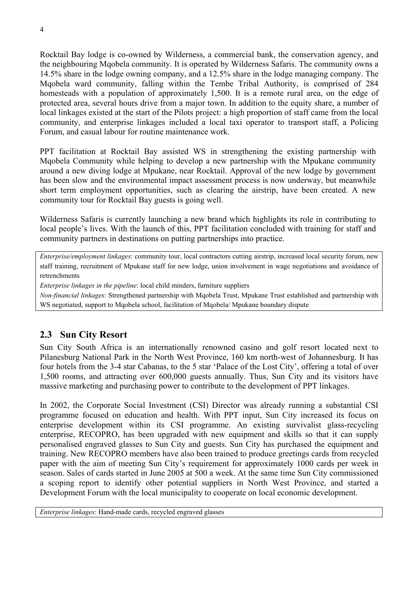Rocktail Bay lodge is co-owned by Wilderness, a commercial bank, the conservation agency, and the neighbouring Mqobela community. It is operated by Wilderness Safaris. The community owns a 14.5% share in the lodge owning company, and a 12.5% share in the lodge managing company. The Mqobela ward community, falling within the Tembe Tribal Authority, is comprised of 284 homesteads with a population of approximately 1,500. It is a remote rural area, on the edge of protected area, several hours drive from a major town. In addition to the equity share, a number of local linkages existed at the start of the Pilots project: a high proportion of staff came from the local community, and enterprise linkages included a local taxi operator to transport staff, a Policing Forum, and casual labour for routine maintenance work.

PPT facilitation at Rocktail Bay assisted WS in strengthening the existing partnership with Mqobela Community while helping to develop a new partnership with the Mpukane community around a new diving lodge at Mpukane, near Rocktail. Approval of the new lodge by government has been slow and the environmental impact assessment process is now underway, but meanwhile short term employment opportunities, such as clearing the airstrip, have been created. A new community tour for Rocktail Bay guests is going well.

Wilderness Safaris is currently launching a new brand which highlights its role in contributing to local people's lives. With the launch of this, PPT facilitation concluded with training for staff and community partners in destinations on putting partnerships into practice.

*Enterprise/employment linkages*: community tour, local contractors cutting airstrip, increased local security forum, new staff training, recruitment of Mpukane staff for new lodge, union involvement in wage negotiations and avoidance of retrenchments

*Enterprise linkages in the pipeline*: local child minders, furniture suppliers

*Non-financial linkages*: Strengthened partnership with Mqobela Trust, Mpukane Trust established and partnership with WS negotiated, support to Mqobela school, facilitation of Mqobela/ Mpukane boundary dispute

## **2.3 Sun City Resort**

Sun City South Africa is an internationally renowned casino and golf resort located next to Pilanesburg National Park in the North West Province, 160 km north-west of Johannesburg. It has four hotels from the 3-4 star Cabanas, to the 5 star 'Palace of the Lost City', offering a total of over 1,500 rooms, and attracting over 600,000 guests annually. Thus, Sun City and its visitors have massive marketing and purchasing power to contribute to the development of PPT linkages.

In 2002, the Corporate Social Investment (CSI) Director was already running a substantial CSI programme focused on education and health. With PPT input, Sun City increased its focus on enterprise development within its CSI programme. An existing survivalist glass-recycling enterprise, RECOPRO, has been upgraded with new equipment and skills so that it can supply personalised engraved glasses to Sun City and guests. Sun City has purchased the equipment and training. New RECOPRO members have also been trained to produce greetings cards from recycled paper with the aim of meeting Sun City's requirement for approximately 1000 cards per week in season. Sales of cards started in June 2005 at 500 a week. At the same time Sun City commissioned a scoping report to identify other potential suppliers in North West Province, and started a Development Forum with the local municipality to cooperate on local economic development.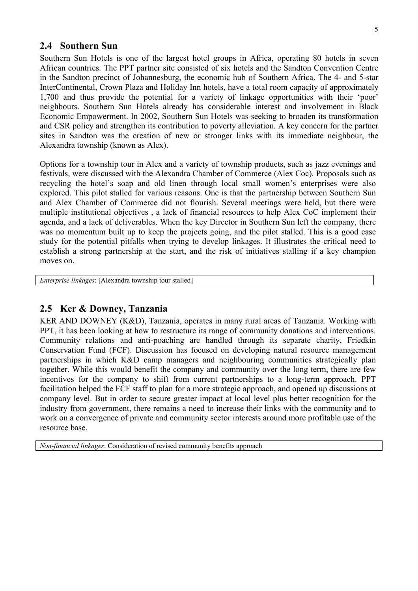#### **2.4 Southern Sun**

Southern Sun Hotels is one of the largest hotel groups in Africa, operating 80 hotels in seven African countries. The PPT partner site consisted of six hotels and the Sandton Convention Centre in the Sandton precinct of Johannesburg, the economic hub of Southern Africa. The 4- and 5-star InterContinental, Crown Plaza and Holiday Inn hotels, have a total room capacity of approximately 1,700 and thus provide the potential for a variety of linkage opportunities with their 'poor' neighbours. Southern Sun Hotels already has considerable interest and involvement in Black Economic Empowerment. In 2002, Southern Sun Hotels was seeking to broaden its transformation and CSR policy and strengthen its contribution to poverty alleviation. A key concern for the partner sites in Sandton was the creation of new or stronger links with its immediate neighbour, the Alexandra township (known as Alex).

Options for a township tour in Alex and a variety of township products, such as jazz evenings and festivals, were discussed with the Alexandra Chamber of Commerce (Alex Coc). Proposals such as recycling the hotel's soap and old linen through local small women's enterprises were also explored. This pilot stalled for various reasons. One is that the partnership between Southern Sun and Alex Chamber of Commerce did not flourish. Several meetings were held, but there were multiple institutional objectives , a lack of financial resources to help Alex CoC implement their agenda, and a lack of deliverables. When the key Director in Southern Sun left the company, there was no momentum built up to keep the projects going, and the pilot stalled. This is a good case study for the potential pitfalls when trying to develop linkages. It illustrates the critical need to establish a strong partnership at the start, and the risk of initiatives stalling if a key champion moves on.

*Enterprise linkages*: [Alexandra township tour stalled]

#### **2.5 Ker & Downey, Tanzania**

KER AND DOWNEY (K&D), Tanzania, operates in many rural areas of Tanzania. Working with PPT, it has been looking at how to restructure its range of community donations and interventions. Community relations and anti-poaching are handled through its separate charity, Friedkin Conservation Fund (FCF). Discussion has focused on developing natural resource management partnerships in which K&D camp managers and neighbouring communities strategically plan together. While this would benefit the company and community over the long term, there are few incentives for the company to shift from current partnerships to a long-term approach. PPT facilitation helped the FCF staff to plan for a more strategic approach, and opened up discussions at company level. But in order to secure greater impact at local level plus better recognition for the industry from government, there remains a need to increase their links with the community and to work on a convergence of private and community sector interests around more profitable use of the resource base.

*Non-financial linkages*: Consideration of revised community benefits approach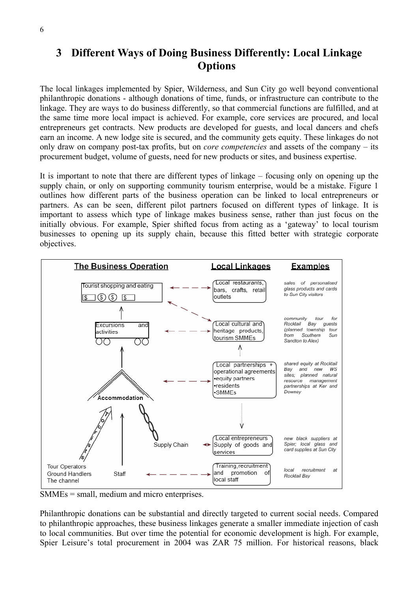## **3 Different Ways of Doing Business Differently: Local Linkage Options**

The local linkages implemented by Spier, Wilderness, and Sun City go well beyond conventional philanthropic donations - although donations of time, funds, or infrastructure can contribute to the linkage. They are ways to do business differently, so that commercial functions are fulfilled, and at the same time more local impact is achieved. For example, core services are procured, and local entrepreneurs get contracts. New products are developed for guests, and local dancers and chefs earn an income. A new lodge site is secured, and the community gets equity. These linkages do not only draw on company post-tax profits, but on *core competencies* and assets of the company – its procurement budget, volume of guests, need for new products or sites, and business expertise.

It is important to note that there are different types of linkage – focusing only on opening up the supply chain, or only on supporting community tourism enterprise, would be a mistake. Figure 1 outlines how different parts of the business operation can be linked to local entrepreneurs or partners. As can be seen, different pilot partners focused on different types of linkage. It is important to assess which type of linkage makes business sense, rather than just focus on the initially obvious. For example, Spier shifted focus from acting as a 'gateway' to local tourism businesses to opening up its supply chain, because this fitted better with strategic corporate objectives.



SMMEs = small, medium and micro enterprises.

Philanthropic donations can be substantial and directly targeted to current social needs. Compared to philanthropic approaches, these business linkages generate a smaller immediate injection of cash to local communities. But over time the potential for economic development is high. For example, Spier Leisure's total procurement in 2004 was ZAR 75 million. For historical reasons, black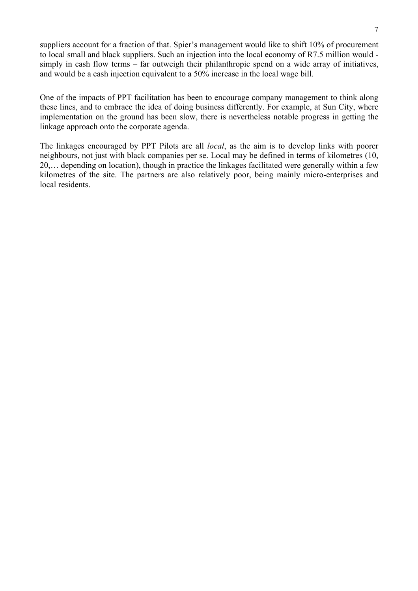suppliers account for a fraction of that. Spier's management would like to shift 10% of procurement to local small and black suppliers. Such an injection into the local economy of R7.5 million would simply in cash flow terms – far outweigh their philanthropic spend on a wide array of initiatives, and would be a cash injection equivalent to a 50% increase in the local wage bill.

One of the impacts of PPT facilitation has been to encourage company management to think along these lines, and to embrace the idea of doing business differently. For example, at Sun City, where implementation on the ground has been slow, there is nevertheless notable progress in getting the linkage approach onto the corporate agenda.

The linkages encouraged by PPT Pilots are all *local*, as the aim is to develop links with poorer neighbours, not just with black companies per se. Local may be defined in terms of kilometres (10, 20,… depending on location), though in practice the linkages facilitated were generally within a few kilometres of the site. The partners are also relatively poor, being mainly micro-enterprises and local residents.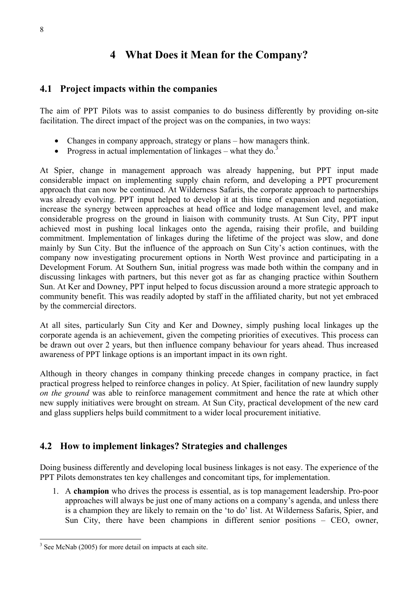## **4 What Does it Mean for the Company?**

### **4.1 Project impacts within the companies**

The aim of PPT Pilots was to assist companies to do business differently by providing on-site facilitation. The direct impact of the project was on the companies, in two ways:

- Changes in company approach, strategy or plans how managers think.
- Progress in actual implementation of linkages what they do.<sup>3</sup>

At Spier, change in management approach was already happening, but PPT input made considerable impact on implementing supply chain reform, and developing a PPT procurement approach that can now be continued. At Wilderness Safaris, the corporate approach to partnerships was already evolving. PPT input helped to develop it at this time of expansion and negotiation, increase the synergy between approaches at head office and lodge management level, and make considerable progress on the ground in liaison with community trusts. At Sun City, PPT input achieved most in pushing local linkages onto the agenda, raising their profile, and building commitment. Implementation of linkages during the lifetime of the project was slow, and done mainly by Sun City. But the influence of the approach on Sun City's action continues, with the company now investigating procurement options in North West province and participating in a Development Forum. At Southern Sun, initial progress was made both within the company and in discussing linkages with partners, but this never got as far as changing practice within Southern Sun. At Ker and Downey, PPT input helped to focus discussion around a more strategic approach to community benefit. This was readily adopted by staff in the affiliated charity, but not yet embraced by the commercial directors.

At all sites, particularly Sun City and Ker and Downey, simply pushing local linkages up the corporate agenda is an achievement, given the competing priorities of executives. This process can be drawn out over 2 years, but then influence company behaviour for years ahead. Thus increased awareness of PPT linkage options is an important impact in its own right.

Although in theory changes in company thinking precede changes in company practice, in fact practical progress helped to reinforce changes in policy. At Spier, facilitation of new laundry supply *on the ground* was able to reinforce management commitment and hence the rate at which other new supply initiatives were brought on stream. At Sun City, practical development of the new card and glass suppliers helps build commitment to a wider local procurement initiative.

## **4.2 How to implement linkages? Strategies and challenges**

Doing business differently and developing local business linkages is not easy. The experience of the PPT Pilots demonstrates ten key challenges and concomitant tips, for implementation.

1. A **champion** who drives the process is essential, as is top management leadership. Pro-poor approaches will always be just one of many actions on a company's agenda, and unless there is a champion they are likely to remain on the 'to do' list. At Wilderness Safaris, Spier, and Sun City, there have been champions in different senior positions – CEO, owner,

 $3$  See McNab (2005) for more detail on impacts at each site.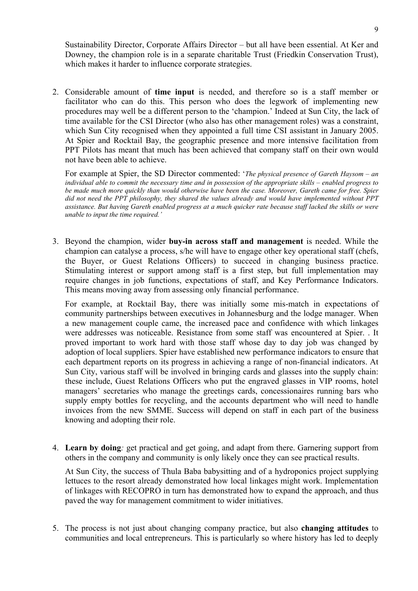Sustainability Director, Corporate Affairs Director – but all have been essential. At Ker and Downey, the champion role is in a separate charitable Trust (Friedkin Conservation Trust), which makes it harder to influence corporate strategies.

2. Considerable amount of **time input** is needed, and therefore so is a staff member or facilitator who can do this. This person who does the legwork of implementing new procedures may well be a different person to the 'champion.' Indeed at Sun City, the lack of time available for the CSI Director (who also has other management roles) was a constraint, which Sun City recognised when they appointed a full time CSI assistant in January 2005. At Spier and Rocktail Bay, the geographic presence and more intensive facilitation from PPT Pilots has meant that much has been achieved that company staff on their own would not have been able to achieve.

For example at Spier, the SD Director commented: '*The physical presence of Gareth Haysom – an individual able to commit the necessary time and in possession of the appropriate skills – enabled progress to be made much more quickly than would otherwise have been the case. Moreover, Gareth came for free. Spier did not need the PPT philosophy, they shared the values already and would have implemented without PPT assistance. But having Gareth enabled progress at a much quicker rate because staff lacked the skills or were unable to input the time required.'* 

3. Beyond the champion, wider **buy-in across staff and management** is needed. While the champion can catalyse a process, s/he will have to engage other key operational staff (chefs, the Buyer, or Guest Relations Officers) to succeed in changing business practice. Stimulating interest or support among staff is a first step, but full implementation may require changes in job functions, expectations of staff, and Key Performance Indicators. This means moving away from assessing only financial performance.

For example, at Rocktail Bay, there was initially some mis-match in expectations of community partnerships between executives in Johannesburg and the lodge manager. When a new management couple came, the increased pace and confidence with which linkages were addresses was noticeable. Resistance from some staff was encountered at Spier. . It proved important to work hard with those staff whose day to day job was changed by adoption of local suppliers. Spier have established new performance indicators to ensure that each department reports on its progress in achieving a range of non-financial indicators. At Sun City, various staff will be involved in bringing cards and glasses into the supply chain: these include, Guest Relations Officers who put the engraved glasses in VIP rooms, hotel managers' secretaries who manage the greetings cards, concessionaires running bars who supply empty bottles for recycling, and the accounts department who will need to handle invoices from the new SMME. Success will depend on staff in each part of the business knowing and adopting their role.

4. **Learn by doing***:* get practical and get going, and adapt from there. Garnering support from others in the company and community is only likely once they can see practical results.

At Sun City, the success of Thula Baba babysitting and of a hydroponics project supplying lettuces to the resort already demonstrated how local linkages might work. Implementation of linkages with RECOPRO in turn has demonstrated how to expand the approach, and thus paved the way for management commitment to wider initiatives.

5. The process is not just about changing company practice, but also **changing attitudes** to communities and local entrepreneurs. This is particularly so where history has led to deeply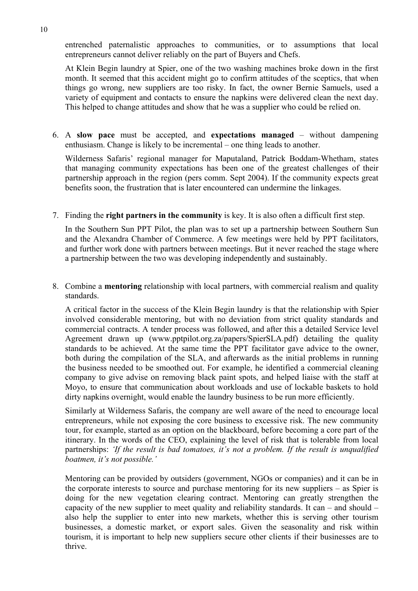entrenched paternalistic approaches to communities, or to assumptions that local entrepreneurs cannot deliver reliably on the part of Buyers and Chefs.

At Klein Begin laundry at Spier, one of the two washing machines broke down in the first month. It seemed that this accident might go to confirm attitudes of the sceptics, that when things go wrong, new suppliers are too risky. In fact, the owner Bernie Samuels, used a variety of equipment and contacts to ensure the napkins were delivered clean the next day. This helped to change attitudes and show that he was a supplier who could be relied on.

6. A **slow pace** must be accepted, and **expectations managed** – without dampening enthusiasm. Change is likely to be incremental – one thing leads to another.

Wilderness Safaris' regional manager for Maputaland, Patrick Boddam-Whetham, states that managing community expectations has been one of the greatest challenges of their partnership approach in the region (pers comm. Sept 2004). If the community expects great benefits soon, the frustration that is later encountered can undermine the linkages.

7. Finding the **right partners in the community** is key. It is also often a difficult first step.

In the Southern Sun PPT Pilot, the plan was to set up a partnership between Southern Sun and the Alexandra Chamber of Commerce. A few meetings were held by PPT facilitators, and further work done with partners between meetings. But it never reached the stage where a partnership between the two was developing independently and sustainably.

8. Combine a **mentoring** relationship with local partners, with commercial realism and quality standards.

A critical factor in the success of the Klein Begin laundry is that the relationship with Spier involved considerable mentoring, but with no deviation from strict quality standards and commercial contracts. A tender process was followed, and after this a detailed Service level Agreement drawn up (www.pptpilot.org.za/papers/SpierSLA.pdf) detailing the quality standards to be achieved. At the same time the PPT facilitator gave advice to the owner, both during the compilation of the SLA, and afterwards as the initial problems in running the business needed to be smoothed out. For example, he identified a commercial cleaning company to give advise on removing black paint spots, and helped liaise with the staff at Moyo, to ensure that communication about workloads and use of lockable baskets to hold dirty napkins overnight, would enable the laundry business to be run more efficiently.

Similarly at Wilderness Safaris, the company are well aware of the need to encourage local entrepreneurs, while not exposing the core business to excessive risk. The new community tour, for example, started as an option on the blackboard, before becoming a core part of the itinerary. In the words of the CEO, explaining the level of risk that is tolerable from local partnerships: *'If the result is bad tomatoes, it's not a problem. If the result is unqualified boatmen, it's not possible.'*

Mentoring can be provided by outsiders (government, NGOs or companies) and it can be in the corporate interests to source and purchase mentoring for its new suppliers – as Spier is doing for the new vegetation clearing contract. Mentoring can greatly strengthen the capacity of the new supplier to meet quality and reliability standards. It can – and should – also help the supplier to enter into new markets, whether this is serving other tourism businesses, a domestic market, or export sales. Given the seasonality and risk within tourism, it is important to help new suppliers secure other clients if their businesses are to thrive.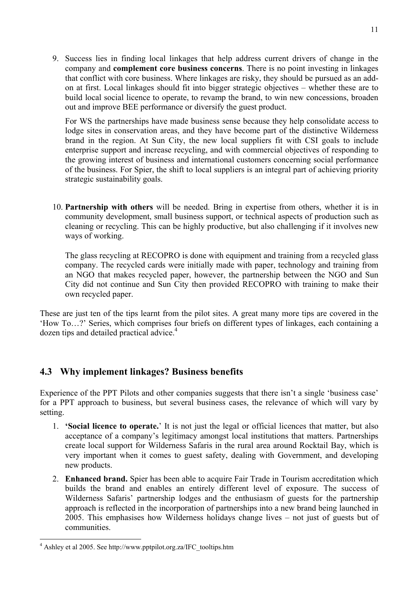9. Success lies in finding local linkages that help address current drivers of change in the company and **complement core business concerns**. There is no point investing in linkages that conflict with core business. Where linkages are risky, they should be pursued as an addon at first. Local linkages should fit into bigger strategic objectives – whether these are to build local social licence to operate, to revamp the brand, to win new concessions, broaden out and improve BEE performance or diversify the guest product.

For WS the partnerships have made business sense because they help consolidate access to lodge sites in conservation areas, and they have become part of the distinctive Wilderness brand in the region. At Sun City, the new local suppliers fit with CSI goals to include enterprise support and increase recycling, and with commercial objectives of responding to the growing interest of business and international customers concerning social performance of the business. For Spier, the shift to local suppliers is an integral part of achieving priority strategic sustainability goals.

10. **Partnership with others** will be needed. Bring in expertise from others, whether it is in community development, small business support, or technical aspects of production such as cleaning or recycling. This can be highly productive, but also challenging if it involves new ways of working.

The glass recycling at RECOPRO is done with equipment and training from a recycled glass company. The recycled cards were initially made with paper, technology and training from an NGO that makes recycled paper, however, the partnership between the NGO and Sun City did not continue and Sun City then provided RECOPRO with training to make their own recycled paper.

These are just ten of the tips learnt from the pilot sites. A great many more tips are covered in the 'How To…?' Series, which comprises four briefs on different types of linkages, each containing a dozen tips and detailed practical advice.<sup>4</sup>

## **4.3 Why implement linkages? Business benefits**

Experience of the PPT Pilots and other companies suggests that there isn't a single 'business case' for a PPT approach to business, but several business cases, the relevance of which will vary by setting.

- 1. **'Social licence to operate.**' It is not just the legal or official licences that matter, but also acceptance of a company's legitimacy amongst local institutions that matters. Partnerships create local support for Wilderness Safaris in the rural area around Rocktail Bay, which is very important when it comes to guest safety, dealing with Government, and developing new products.
- 2. **Enhanced brand.** Spier has been able to acquire Fair Trade in Tourism accreditation which builds the brand and enables an entirely different level of exposure. The success of Wilderness Safaris' partnership lodges and the enthusiasm of guests for the partnership approach is reflected in the incorporation of partnerships into a new brand being launched in 2005. This emphasises how Wilderness holidays change lives – not just of guests but of communities.

<sup>&</sup>lt;sup>4</sup> Ashley et al 2005. See http://www.pptpilot.org.za/IFC\_tooltips.htm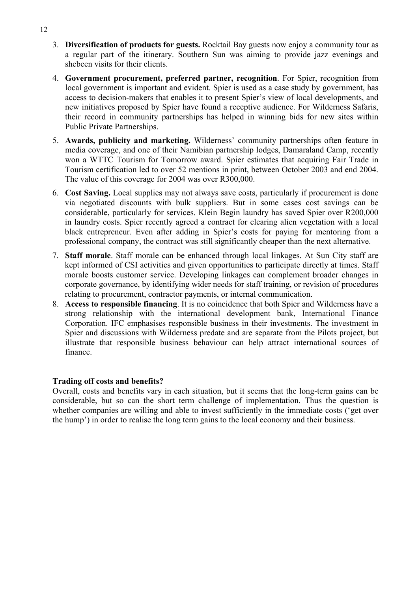- 3. **Diversification of products for guests.** Rocktail Bay guests now enjoy a community tour as a regular part of the itinerary. Southern Sun was aiming to provide jazz evenings and shebeen visits for their clients.
- 4. **Government procurement, preferred partner, recognition**. For Spier, recognition from local government is important and evident. Spier is used as a case study by government, has access to decision-makers that enables it to present Spier's view of local developments, and new initiatives proposed by Spier have found a receptive audience. For Wilderness Safaris, their record in community partnerships has helped in winning bids for new sites within Public Private Partnerships.
- 5. **Awards, publicity and marketing.** Wilderness' community partnerships often feature in media coverage, and one of their Namibian partnership lodges, Damaraland Camp, recently won a WTTC Tourism for Tomorrow award. Spier estimates that acquiring Fair Trade in Tourism certification led to over 52 mentions in print, between October 2003 and end 2004. The value of this coverage for 2004 was over R300,000.
- 6. **Cost Saving.** Local supplies may not always save costs, particularly if procurement is done via negotiated discounts with bulk suppliers. But in some cases cost savings can be considerable, particularly for services. Klein Begin laundry has saved Spier over R200,000 in laundry costs. Spier recently agreed a contract for clearing alien vegetation with a local black entrepreneur. Even after adding in Spier's costs for paying for mentoring from a professional company, the contract was still significantly cheaper than the next alternative.
- 7. **Staff morale**. Staff morale can be enhanced through local linkages. At Sun City staff are kept informed of CSI activities and given opportunities to participate directly at times. Staff morale boosts customer service. Developing linkages can complement broader changes in corporate governance, by identifying wider needs for staff training, or revision of procedures relating to procurement, contractor payments, or internal communication.
- 8. **Access to responsible financing**. It is no coincidence that both Spier and Wilderness have a strong relationship with the international development bank, International Finance Corporation. IFC emphasises responsible business in their investments. The investment in Spier and discussions with Wilderness predate and are separate from the Pilots project, but illustrate that responsible business behaviour can help attract international sources of finance.

#### **Trading off costs and benefits?**

Overall, costs and benefits vary in each situation, but it seems that the long-term gains can be considerable, but so can the short term challenge of implementation. Thus the question is whether companies are willing and able to invest sufficiently in the immediate costs ('get over the hump') in order to realise the long term gains to the local economy and their business.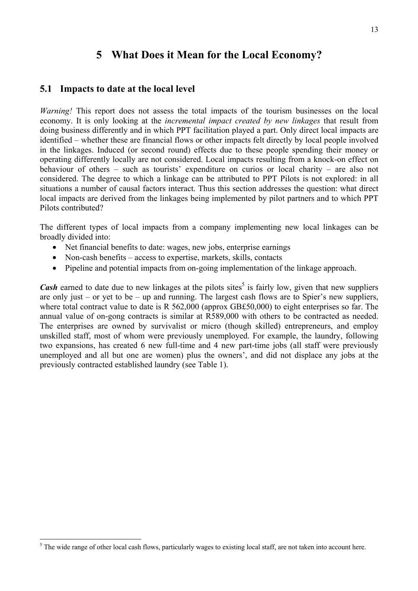## **5 What Does it Mean for the Local Economy?**

#### **5.1 Impacts to date at the local level**

*Warning!* This report does not assess the total impacts of the tourism businesses on the local economy. It is only looking at the *incremental impact created by new linkages* that result from doing business differently and in which PPT facilitation played a part. Only direct local impacts are identified – whether these are financial flows or other impacts felt directly by local people involved in the linkages. Induced (or second round) effects due to these people spending their money or operating differently locally are not considered. Local impacts resulting from a knock-on effect on behaviour of others – such as tourists' expenditure on curios or local charity – are also not considered. The degree to which a linkage can be attributed to PPT Pilots is not explored: in all situations a number of causal factors interact. Thus this section addresses the question: what direct local impacts are derived from the linkages being implemented by pilot partners and to which PPT Pilots contributed?

The different types of local impacts from a company implementing new local linkages can be broadly divided into:

- Net financial benefits to date: wages, new jobs, enterprise earnings
- Non-cash benefits access to expertise, markets, skills, contacts
- Pipeline and potential impacts from on-going implementation of the linkage approach.

*Cash* earned to date due to new linkages at the pilots sites<sup>5</sup> is fairly low, given that new suppliers are only just – or yet to be – up and running. The largest cash flows are to Spier's new suppliers, where total contract value to date is R 562,000 (approx GB£50,000) to eight enterprises so far. The annual value of on-gong contracts is similar at R589,000 with others to be contracted as needed. The enterprises are owned by survivalist or micro (though skilled) entrepreneurs, and employ unskilled staff, most of whom were previously unemployed. For example, the laundry, following two expansions, has created 6 new full-time and 4 new part-time jobs (all staff were previously unemployed and all but one are women) plus the owners', and did not displace any jobs at the previously contracted established laundry (see Table 1).

 $<sup>5</sup>$  The wide range of other local cash flows, particularly wages to existing local staff, are not taken into account here.</sup>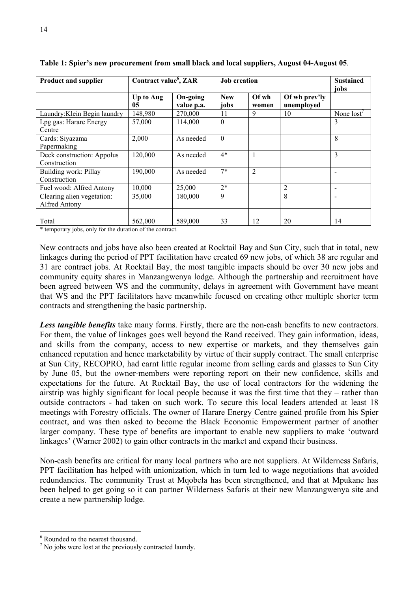| <b>Product and supplier</b>                 | Contract value <sup>6</sup> , ZAR |                        | <b>Job</b> creation |                |                             | <b>Sustained</b> |
|---------------------------------------------|-----------------------------------|------------------------|---------------------|----------------|-----------------------------|------------------|
|                                             | Up to Aug<br>05                   | On-going<br>value p.a. | <b>New</b><br>jobs  | Ofwh<br>women  | Of wh prev'ly<br>unemployed | jobs             |
| Laundry: Klein Begin laundry                | 148,980                           | 270,000                | 11                  | 9              | 10                          | None $lost'$     |
| Lpg gas: Harare Energy<br>Centre            | 57,000                            | 114,000                | $\theta$            |                |                             | 3                |
| Cards: Siyazama<br>Papermaking              | 2,000                             | As needed              | $\theta$            |                |                             | 8                |
| Deck construction: Appolus<br>Construction  | 120,000                           | As needed              | $4*$                |                |                             | 3                |
| Building work: Pillay<br>Construction       | 190,000                           | As needed              | $7*$                | $\overline{2}$ |                             |                  |
| Fuel wood: Alfred Antony                    | 10,000                            | 25,000                 | $2*$                |                | 2                           |                  |
| Clearing alien vegetation:<br>Alfred Antony | 35,000                            | 180,000                | 9                   |                | 8                           |                  |
|                                             |                                   |                        |                     |                |                             |                  |
| Total                                       | 562,000                           | 589,000                | 33                  | 12             | 20                          | 14               |

**Table 1: Spier's new procurement from small black and local suppliers, August 04-August 05**.

\* temporary jobs, only for the duration of the contract.

New contracts and jobs have also been created at Rocktail Bay and Sun City, such that in total, new linkages during the period of PPT facilitation have created 69 new jobs, of which 38 are regular and 31 are contract jobs. At Rocktail Bay, the most tangible impacts should be over 30 new jobs and community equity shares in Manzangwenya lodge. Although the partnership and recruitment have been agreed between WS and the community, delays in agreement with Government have meant that WS and the PPT facilitators have meanwhile focused on creating other multiple shorter term contracts and strengthening the basic partnership.

Less tangible benefits take many forms. Firstly, there are the non-cash benefits to new contractors. For them, the value of linkages goes well beyond the Rand received. They gain information, ideas, and skills from the company, access to new expertise or markets, and they themselves gain enhanced reputation and hence marketability by virtue of their supply contract. The small enterprise at Sun City, RECOPRO, had earnt little regular income from selling cards and glasses to Sun City by June 05, but the owner-members were reporting report on their new confidence, skills and expectations for the future. At Rocktail Bay, the use of local contractors for the widening the airstrip was highly significant for local people because it was the first time that they – rather than outside contractors - had taken on such work. To secure this local leaders attended at least 18 meetings with Forestry officials. The owner of Harare Energy Centre gained profile from his Spier contract, and was then asked to become the Black Economic Empowerment partner of another larger company. These type of benefits are important to enable new suppliers to make 'outward linkages' (Warner 2002) to gain other contracts in the market and expand their business.

Non-cash benefits are critical for many local partners who are not suppliers. At Wilderness Safaris, PPT facilitation has helped with unionization, which in turn led to wage negotiations that avoided redundancies. The community Trust at Mqobela has been strengthened, and that at Mpukane has been helped to get going so it can partner Wilderness Safaris at their new Manzangwenya site and create a new partnership lodge.

<sup>6</sup> Rounded to the nearest thousand.

 $<sup>7</sup>$  No jobs were lost at the previously contracted laundy.</sup>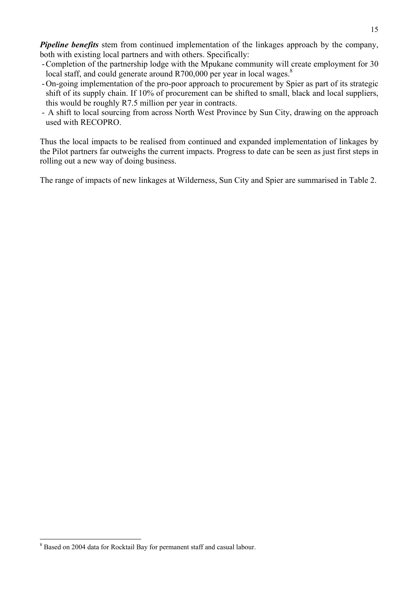*Pipeline benefits* stem from continued implementation of the linkages approach by the company, both with existing local partners and with others. Specifically:

- -Completion of the partnership lodge with the Mpukane community will create employment for 30 local staff, and could generate around  $R700,000$  per year in local wages.<sup>8</sup>
- -On-going implementation of the pro-poor approach to procurement by Spier as part of its strategic shift of its supply chain. If 10% of procurement can be shifted to small, black and local suppliers, this would be roughly R7.5 million per year in contracts.
- A shift to local sourcing from across North West Province by Sun City, drawing on the approach used with RECOPRO.

Thus the local impacts to be realised from continued and expanded implementation of linkages by the Pilot partners far outweighs the current impacts. Progress to date can be seen as just first steps in rolling out a new way of doing business.

The range of impacts of new linkages at Wilderness, Sun City and Spier are summarised in Table 2.

<sup>&</sup>lt;sup>8</sup> Based on 2004 data for Rocktail Bay for permanent staff and casual labour.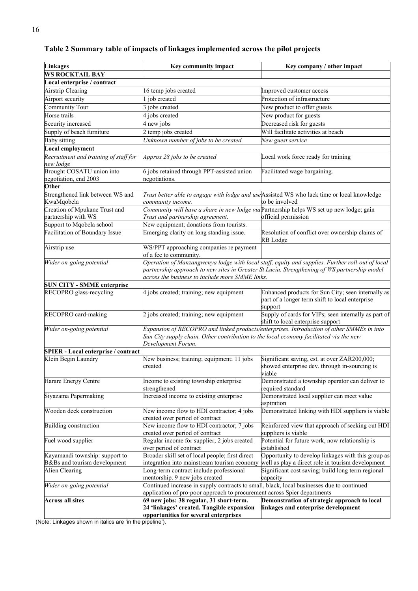| <b>Linkages</b>                                    | Key community impact                                                                                                                                                  | Key company / other impact                                                                                       |  |
|----------------------------------------------------|-----------------------------------------------------------------------------------------------------------------------------------------------------------------------|------------------------------------------------------------------------------------------------------------------|--|
| <b>WS ROCKTAIL BAY</b>                             |                                                                                                                                                                       |                                                                                                                  |  |
| Local enterprise / contract                        |                                                                                                                                                                       |                                                                                                                  |  |
| <b>Airstrip Clearing</b>                           | 16 temp jobs created                                                                                                                                                  | Improved customer access                                                                                         |  |
| Airport security                                   | job created                                                                                                                                                           | Protection of infrastructure                                                                                     |  |
| <b>Community Tour</b>                              | jobs created                                                                                                                                                          | New product to offer guests                                                                                      |  |
| Horse trails                                       | jobs created                                                                                                                                                          | New product for guests                                                                                           |  |
| Security increased                                 | 4 new jobs                                                                                                                                                            | Decreased risk for guests                                                                                        |  |
| Supply of beach furniture                          | 2 temp jobs created                                                                                                                                                   | Will facilitate activities at beach                                                                              |  |
|                                                    |                                                                                                                                                                       |                                                                                                                  |  |
| <b>Baby sitting</b>                                | Unknown number of jobs to be created                                                                                                                                  | New guest service                                                                                                |  |
| <b>Local employment</b>                            |                                                                                                                                                                       |                                                                                                                  |  |
| Recruitment and training of staff for<br>new lodge | Approx 28 jobs to be created                                                                                                                                          | Local work force ready for training                                                                              |  |
| Brought COSATU union into                          | 6 jobs retained through PPT-assisted union                                                                                                                            | Facilitated wage bargaining.                                                                                     |  |
| negotiation, end 2003                              | negotiations.                                                                                                                                                         |                                                                                                                  |  |
| Other                                              |                                                                                                                                                                       |                                                                                                                  |  |
| Strengthened link between WS and<br>KwaMqobela     | community income.                                                                                                                                                     | Trust better able to engage with lodge and use Assisted WS who lack time or local knowledge<br>to be involved    |  |
| Creation of Mpukane Trust and                      | Community will have a share in new lodge via Partnership helps WS set up new lodge; gain                                                                              |                                                                                                                  |  |
| partnership with WS                                | Trust and partnership agreement.                                                                                                                                      | official permission                                                                                              |  |
| Support to Mqobela school                          | New equipment; donations from tourists.                                                                                                                               |                                                                                                                  |  |
| <b>Facilitation of Boundary Issue</b>              | Emerging clarity on long standing issue.                                                                                                                              | Resolution of conflict over ownership claims of                                                                  |  |
|                                                    |                                                                                                                                                                       | RB Lodge                                                                                                         |  |
| Airstrip use                                       | WS/PPT approaching companies re payment<br>of a fee to community.                                                                                                     |                                                                                                                  |  |
| Wider on-going potential                           |                                                                                                                                                                       | Operation of Manzangwenya lodge with local staff, equity and supplies. Further roll-out of local                 |  |
|                                                    |                                                                                                                                                                       | partnership approach to new sites in Greater St Lucia. Strengthening of WS partnership model                     |  |
|                                                    | across the business to include more SMME links.                                                                                                                       |                                                                                                                  |  |
| <b>SUN CITY - SMME enterprise</b>                  |                                                                                                                                                                       |                                                                                                                  |  |
| RECOPRO glass-recycling                            | 4 jobs created; training; new equipment                                                                                                                               | Enhanced products for Sun City; seen internally as<br>part of a longer term shift to local enterprise<br>support |  |
| RECOPRO card-making                                | 2 jobs created; training; new equipment                                                                                                                               | Supply of cards for VIPs; seen internally as part of<br>shift to local enterprise support                        |  |
| Wider on-going potential                           | Sun City supply chain. Other contribution to the local economy facilitated via the new<br>Development Forum.                                                          | Expansion of RECOPRO and linked products/enterprises. Introduction of other SMMEs in into                        |  |
| <b>SPIER - Local enterprise / contract</b>         |                                                                                                                                                                       |                                                                                                                  |  |
| Klein Begin Laundry                                | New business; training; equipment; 11 jobs<br>created                                                                                                                 | Significant saving, est. at over ZAR200,000;<br>showed enterprise dev. through in-sourcing is<br>viable          |  |
| Harare Energy Centre                               | Income to existing township enterprise<br>strengthened                                                                                                                | Demonstrated a township operator can deliver to<br>required standard                                             |  |
| Siyazama Papermaking                               | Increased income to existing enterprise                                                                                                                               | Demonstrated local supplier can meet value<br>aspiration                                                         |  |
| Wooden deck construction                           | New income flow to HDI contractor; 4 jobs<br>created over period of contract                                                                                          | Demonstrated linking with HDI suppliers is viable                                                                |  |
| Building construction                              | New income flow to HDI contractor; 7 jobs<br>created over period of contract                                                                                          | Reinforced view that approach of seeking out HDI<br>suppliers is viable                                          |  |
| Fuel wood supplier                                 | Regular income for supplier; 2 jobs created<br>over period of contract                                                                                                | Potential for future work, now relationship is<br>established                                                    |  |
| Kayamandi township: support to                     | Broader skill set of local people; first direct                                                                                                                       | Opportunity to develop linkages with this group as                                                               |  |
| B&Bs and tourism development                       | integration into mainstream tourism economy                                                                                                                           | well as play a direct role in tourism development                                                                |  |
| Alien Clearing                                     | Long-term contract include professional<br>mentorship. 9 new jobs created                                                                                             | Significant cost saving; build long term regional<br>capacity                                                    |  |
| Wider on-going potential                           | Continued increase in supply contracts to small, black, local businesses due to continued<br>application of pro-poor approach to procurement across Spier departments |                                                                                                                  |  |
| <b>Across all sites</b>                            | 69 new jobs: 38 regular, 31 short-term.<br>Demonstration of strategic approach to local                                                                               |                                                                                                                  |  |
|                                                    | 24 'linkages' created. Tangible expansion                                                                                                                             | linkages and enterprise development                                                                              |  |
|                                                    | opportunities for several enterprises                                                                                                                                 |                                                                                                                  |  |

### **Table 2 Summary table of impacts of linkages implemented across the pilot projects**

(Note: Linkages shown in italics are 'in the pipeline').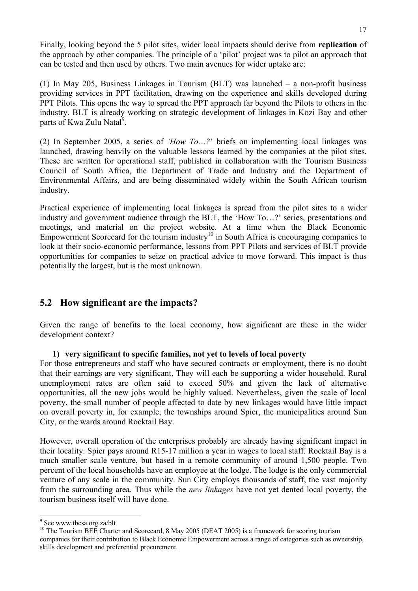Finally, looking beyond the 5 pilot sites, wider local impacts should derive from **replication** of the approach by other companies. The principle of a 'pilot' project was to pilot an approach that can be tested and then used by others. Two main avenues for wider uptake are:

(1) In May 205, Business Linkages in Tourism (BLT) was launched – a non-profit business providing services in PPT facilitation, drawing on the experience and skills developed during PPT Pilots. This opens the way to spread the PPT approach far beyond the Pilots to others in the industry. BLT is already working on strategic development of linkages in Kozi Bay and other parts of Kwa Zulu Natal<sup>9</sup>.

(2) In September 2005, a series of *'How To…?*' briefs on implementing local linkages was launched, drawing heavily on the valuable lessons learned by the companies at the pilot sites. These are written for operational staff, published in collaboration with the Tourism Business Council of South Africa, the Department of Trade and Industry and the Department of Environmental Affairs, and are being disseminated widely within the South African tourism industry.

Practical experience of implementing local linkages is spread from the pilot sites to a wider industry and government audience through the BLT, the 'How To…?' series, presentations and meetings, and material on the project website. At a time when the Black Economic Empowerment Scorecard for the tourism industry<sup>10</sup> in South Africa is encouraging companies to look at their socio-economic performance, lessons from PPT Pilots and services of BLT provide opportunities for companies to seize on practical advice to move forward. This impact is thus potentially the largest, but is the most unknown.

## **5.2 How significant are the impacts?**

Given the range of benefits to the local economy, how significant are these in the wider development context?

#### **1) very significant to specific families, not yet to levels of local poverty**

For those entrepreneurs and staff who have secured contracts or employment, there is no doubt that their earnings are very significant. They will each be supporting a wider household. Rural unemployment rates are often said to exceed 50% and given the lack of alternative opportunities, all the new jobs would be highly valued. Nevertheless, given the scale of local poverty, the small number of people affected to date by new linkages would have little impact on overall poverty in, for example, the townships around Spier, the municipalities around Sun City, or the wards around Rocktail Bay.

However, overall operation of the enterprises probably are already having significant impact in their locality. Spier pays around R15-17 million a year in wages to local staff. Rocktail Bay is a much smaller scale venture, but based in a remote community of around 1,500 people. Two percent of the local households have an employee at the lodge. The lodge is the only commercial venture of any scale in the community. Sun City employs thousands of staff, the vast majority from the surrounding area. Thus while the *new linkages* have not yet dented local poverty, the tourism business itself will have done.

 $\overline{a}$ <sup>9</sup> See www.tbcsa.org.za/blt

<sup>&</sup>lt;sup>10</sup> The Tourism BEE Charter and Scorecard, 8 May 2005 (DEAT 2005) is a framework for scoring tourism companies for their contribution to Black Economic Empowerment across a range of categories such as ownership, skills development and preferential procurement.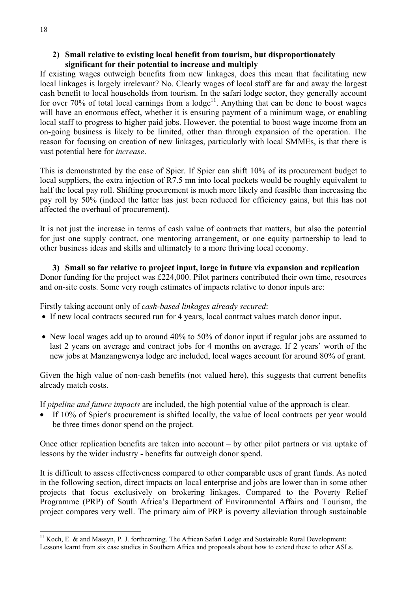#### **2) Small relative to existing local benefit from tourism, but disproportionately significant for their potential to increase and multiply**

If existing wages outweigh benefits from new linkages, does this mean that facilitating new local linkages is largely irrelevant? No. Clearly wages of local staff are far and away the largest cash benefit to local households from tourism. In the safari lodge sector, they generally account for over 70% of total local earnings from a  $\log e^{11}$ . Anything that can be done to boost wages will have an enormous effect, whether it is ensuring payment of a minimum wage, or enabling local staff to progress to higher paid jobs. However, the potential to boost wage income from an on-going business is likely to be limited, other than through expansion of the operation. The reason for focusing on creation of new linkages, particularly with local SMMEs, is that there is vast potential here for *increase*.

This is demonstrated by the case of Spier. If Spier can shift 10% of its procurement budget to local suppliers, the extra injection of R7.5 mn into local pockets would be roughly equivalent to half the local pay roll. Shifting procurement is much more likely and feasible than increasing the pay roll by 50% (indeed the latter has just been reduced for efficiency gains, but this has not affected the overhaul of procurement).

It is not just the increase in terms of cash value of contracts that matters, but also the potential for just one supply contract, one mentoring arrangement, or one equity partnership to lead to other business ideas and skills and ultimately to a more thriving local economy.

**3) Small so far relative to project input, large in future via expansion and replication**  Donor funding for the project was £224,000. Pilot partners contributed their own time, resources and on-site costs. Some very rough estimates of impacts relative to donor inputs are:

Firstly taking account only of *cash-based linkages already secured*:

- If new local contracts secured run for 4 years, local contract values match donor input.
- New local wages add up to around 40% to 50% of donor input if regular jobs are assumed to last 2 years on average and contract jobs for 4 months on average. If 2 years' worth of the new jobs at Manzangwenya lodge are included, local wages account for around 80% of grant.

Given the high value of non-cash benefits (not valued here), this suggests that current benefits already match costs.

If *pipeline and future impacts* are included, the high potential value of the approach is clear.

• If 10% of Spier's procurement is shifted locally, the value of local contracts per year would be three times donor spend on the project.

Once other replication benefits are taken into account – by other pilot partners or via uptake of lessons by the wider industry - benefits far outweigh donor spend.

It is difficult to assess effectiveness compared to other comparable uses of grant funds. As noted in the following section, direct impacts on local enterprise and jobs are lower than in some other projects that focus exclusively on brokering linkages. Compared to the Poverty Relief Programme (PRP) of South Africa's Department of Environmental Affairs and Tourism, the project compares very well. The primary aim of PRP is poverty alleviation through sustainable

 $11$  Koch, E. & and Massyn, P. J. forthcoming. The African Safari Lodge and Sustainable Rural Development: Lessons learnt from six case studies in Southern Africa and proposals about how to extend these to other ASLs.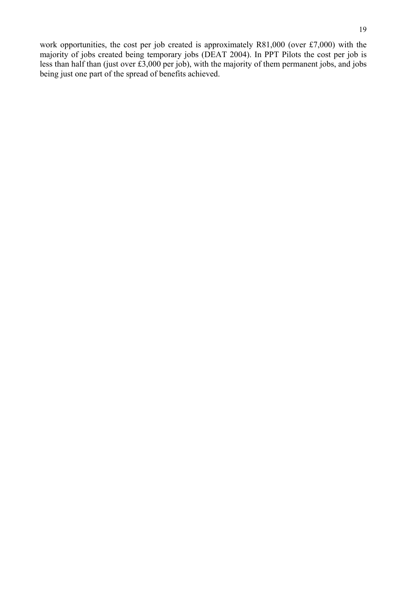work opportunities, the cost per job created is approximately R81,000 (over £7,000) with the majority of jobs created being temporary jobs (DEAT 2004). In PPT Pilots the cost per job is less than half than (just over £3,000 per job), with the majority of them permanent jobs, and jobs being just one part of the spread of benefits achieved.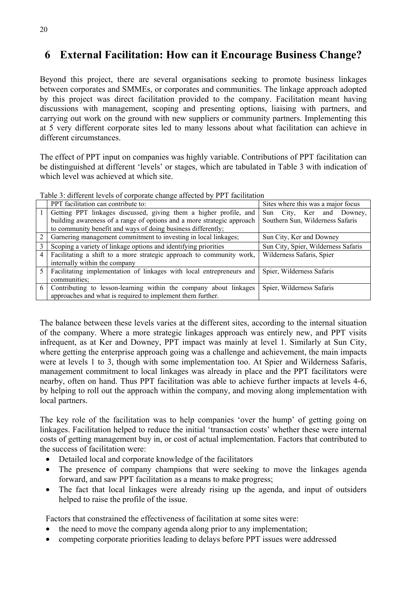## **6 External Facilitation: How can it Encourage Business Change?**

Beyond this project, there are several organisations seeking to promote business linkages between corporates and SMMEs, or corporates and communities. The linkage approach adopted by this project was direct facilitation provided to the company. Facilitation meant having discussions with management, scoping and presenting options, liaising with partners, and carrying out work on the ground with new suppliers or community partners. Implementing this at 5 very different corporate sites led to many lessons about what facilitation can achieve in different circumstances.

The effect of PPT input on companies was highly variable. Contributions of PPT facilitation can be distinguished at different 'levels' or stages, which are tabulated in Table 3 with indication of which level was achieved at which site.

| Table 3: different levels of corporate change affected by PPT facilitation |
|----------------------------------------------------------------------------|
|----------------------------------------------------------------------------|

|   | PPT facilitation can contribute to:                                    | Sites where this was a major focus  |
|---|------------------------------------------------------------------------|-------------------------------------|
|   | Getting PPT linkages discussed, giving them a higher profile, and      | Sun City, Ker and Downey,           |
|   | building awareness of a range of options and a more strategic approach | Southern Sun, Wilderness Safaris    |
|   | to community benefit and ways of doing business differently;           |                                     |
| 2 | Garnering management commitment to investing in local linkages;        | Sun City, Ker and Downey            |
| 3 | Scoping a variety of linkage options and identifying priorities        | Sun City, Spier, Wilderness Safaris |
| 4 | Facilitating a shift to a more strategic approach to community work,   | Wilderness Safaris, Spier           |
|   | internally within the company                                          |                                     |
| 5 | Facilitating implementation of linkages with local entrepreneurs and   | Spier, Wilderness Safaris           |
|   | communities;                                                           |                                     |
| 6 | Contributing to lesson-learning within the company about linkages      | Spier, Wilderness Safaris           |
|   | approaches and what is required to implement them further.             |                                     |

The balance between these levels varies at the different sites, according to the internal situation of the company. Where a more strategic linkages approach was entirely new, and PPT visits infrequent, as at Ker and Downey, PPT impact was mainly at level 1. Similarly at Sun City, where getting the enterprise approach going was a challenge and achievement, the main impacts were at levels 1 to 3, though with some implementation too. At Spier and Wilderness Safaris, management commitment to local linkages was already in place and the PPT facilitators were nearby, often on hand. Thus PPT facilitation was able to achieve further impacts at levels 4-6, by helping to roll out the approach within the company, and moving along implementation with local partners.

The key role of the facilitation was to help companies 'over the hump' of getting going on linkages. Facilitation helped to reduce the initial 'transaction costs' whether these were internal costs of getting management buy in, or cost of actual implementation. Factors that contributed to the success of facilitation were:

- Detailed local and corporate knowledge of the facilitators
- The presence of company champions that were seeking to move the linkages agenda forward, and saw PPT facilitation as a means to make progress;
- The fact that local linkages were already rising up the agenda, and input of outsiders helped to raise the profile of the issue.

Factors that constrained the effectiveness of facilitation at some sites were:

- the need to move the company agenda along prior to any implementation;
- competing corporate priorities leading to delays before PPT issues were addressed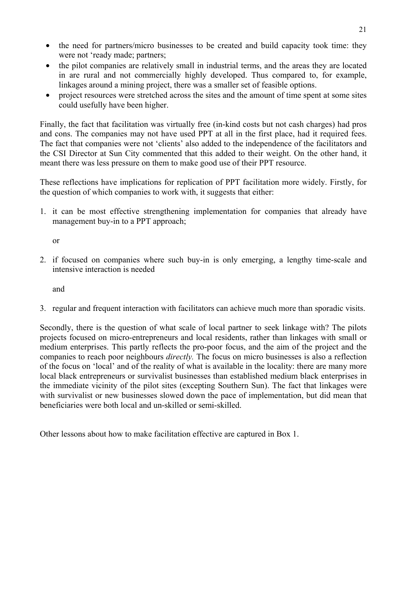- the need for partners/micro businesses to be created and build capacity took time: they were not 'ready made; partners;
- the pilot companies are relatively small in industrial terms, and the areas they are located in are rural and not commercially highly developed. Thus compared to, for example, linkages around a mining project, there was a smaller set of feasible options.
- project resources were stretched across the sites and the amount of time spent at some sites could usefully have been higher.

Finally, the fact that facilitation was virtually free (in-kind costs but not cash charges) had pros and cons. The companies may not have used PPT at all in the first place, had it required fees. The fact that companies were not 'clients' also added to the independence of the facilitators and the CSI Director at Sun City commented that this added to their weight. On the other hand, it meant there was less pressure on them to make good use of their PPT resource.

These reflections have implications for replication of PPT facilitation more widely. Firstly, for the question of which companies to work with, it suggests that either:

1. it can be most effective strengthening implementation for companies that already have management buy-in to a PPT approach;

or

2. if focused on companies where such buy-in is only emerging, a lengthy time-scale and intensive interaction is needed

and

3. regular and frequent interaction with facilitators can achieve much more than sporadic visits.

Secondly, there is the question of what scale of local partner to seek linkage with? The pilots projects focused on micro-entrepreneurs and local residents, rather than linkages with small or medium enterprises. This partly reflects the pro-poor focus, and the aim of the project and the companies to reach poor neighbours *directly.* The focus on micro businesses is also a reflection of the focus on 'local' and of the reality of what is available in the locality: there are many more local black entrepreneurs or survivalist businesses than established medium black enterprises in the immediate vicinity of the pilot sites (excepting Southern Sun). The fact that linkages were with survivalist or new businesses slowed down the pace of implementation, but did mean that beneficiaries were both local and un-skilled or semi-skilled.

Other lessons about how to make facilitation effective are captured in Box 1.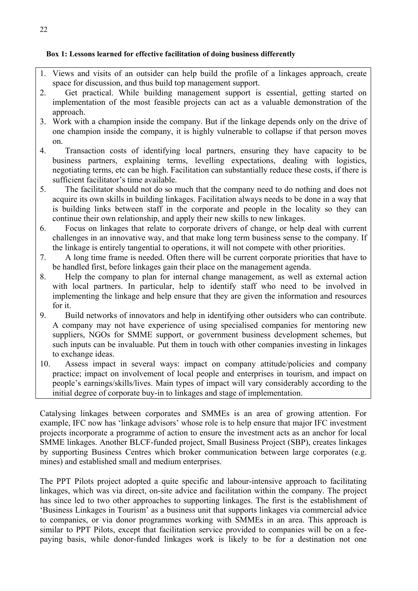#### **Box 1: Lessons learned for effective facilitation of doing business differently**

- 1. Views and visits of an outsider can help build the profile of a linkages approach, create space for discussion, and thus build top management support.
- 2. Get practical. While building management support is essential, getting started on implementation of the most feasible projects can act as a valuable demonstration of the approach.
- 3. Work with a champion inside the company. But if the linkage depends only on the drive of one champion inside the company, it is highly vulnerable to collapse if that person moves on.
- 4. Transaction costs of identifying local partners, ensuring they have capacity to be business partners, explaining terms, levelling expectations, dealing with logistics, negotiating terms, etc can be high. Facilitation can substantially reduce these costs, if there is sufficient facilitator's time available.
- 5. The facilitator should not do so much that the company need to do nothing and does not acquire its own skills in building linkages. Facilitation always needs to be done in a way that is building links between staff in the corporate and people in the locality so they can continue their own relationship, and apply their new skills to new linkages.
- 6. Focus on linkages that relate to corporate drivers of change, or help deal with current challenges in an innovative way, and that make long term business sense to the company. If the linkage is entirely tangential to operations, it will not compete with other priorities.
- 7. A long time frame is needed. Often there will be current corporate priorities that have to be handled first, before linkages gain their place on the management agenda.
- 8. Help the company to plan for internal change management, as well as external action with local partners. In particular, help to identify staff who need to be involved in implementing the linkage and help ensure that they are given the information and resources for it.
- 9. Build networks of innovators and help in identifying other outsiders who can contribute. A company may not have experience of using specialised companies for mentoring new suppliers, NGOs for SMME support, or government business development schemes, but such inputs can be invaluable. Put them in touch with other companies investing in linkages to exchange ideas.
- 10. Assess impact in several ways: impact on company attitude/policies and company practice; impact on involvement of local people and enterprises in tourism, and impact on people's earnings/skills/lives. Main types of impact will vary considerably according to the initial degree of corporate buy-in to linkages and stage of implementation.

Catalysing linkages between corporates and SMMEs is an area of growing attention. For example, IFC now has 'linkage advisors' whose role is to help ensure that major IFC investment projects incorporate a programme of action to ensure the investment acts as an anchor for local SMME linkages. Another BLCF-funded project, Small Business Project (SBP), creates linkages by supporting Business Centres which broker communication between large corporates (e.g. mines) and established small and medium enterprises.

The PPT Pilots project adopted a quite specific and labour-intensive approach to facilitating linkages, which was via direct, on-site advice and facilitation within the company. The project has since led to two other approaches to supporting linkages. The first is the establishment of 'Business Linkages in Tourism' as a business unit that supports linkages via commercial advice to companies, or via donor programmes working with SMMEs in an area. This approach is similar to PPT Pilots, except that facilitation service provided to companies will be on a feepaying basis, while donor-funded linkages work is likely to be for a destination not one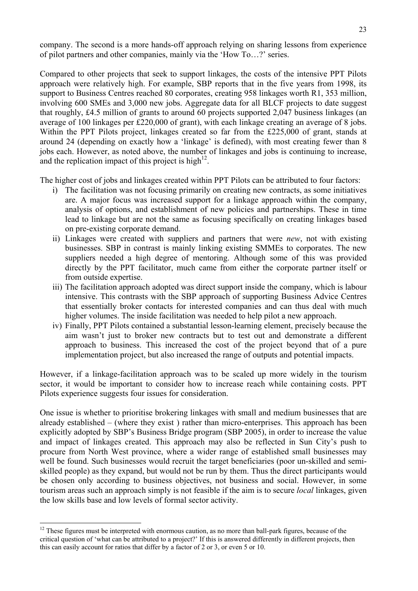company. The second is a more hands-off approach relying on sharing lessons from experience of pilot partners and other companies, mainly via the 'How To…?' series.

Compared to other projects that seek to support linkages, the costs of the intensive PPT Pilots approach were relatively high. For example, SBP reports that in the five years from 1998, its support to Business Centres reached 80 corporates, creating 958 linkages worth R1, 353 million, involving 600 SMEs and 3,000 new jobs. Aggregate data for all BLCF projects to date suggest that roughly, £4.5 million of grants to around 60 projects supported 2,047 business linkages (an average of 100 linkages per £220,000 of grant), with each linkage creating an average of 8 jobs. Within the PPT Pilots project, linkages created so far from the £225,000 of grant, stands at around 24 (depending on exactly how a 'linkage' is defined), with most creating fewer than 8 jobs each. However, as noted above, the number of linkages and jobs is continuing to increase, and the replication impact of this project is high<sup>12</sup>.

The higher cost of jobs and linkages created within PPT Pilots can be attributed to four factors:

- i) The facilitation was not focusing primarily on creating new contracts, as some initiatives are. A major focus was increased support for a linkage approach within the company, analysis of options, and establishment of new policies and partnerships. These in time lead to linkage but are not the same as focusing specifically on creating linkages based on pre-existing corporate demand.
- ii) Linkages were created with suppliers and partners that were *new*, not with existing businesses. SBP in contrast is mainly linking existing SMMEs to corporates. The new suppliers needed a high degree of mentoring. Although some of this was provided directly by the PPT facilitator, much came from either the corporate partner itself or from outside expertise.
- iii) The facilitation approach adopted was direct support inside the company, which is labour intensive. This contrasts with the SBP approach of supporting Business Advice Centres that essentially broker contacts for interested companies and can thus deal with much higher volumes. The inside facilitation was needed to help pilot a new approach.
- iv) Finally, PPT Pilots contained a substantial lesson-learning element, precisely because the aim wasn't just to broker new contracts but to test out and demonstrate a different approach to business. This increased the cost of the project beyond that of a pure implementation project, but also increased the range of outputs and potential impacts.

However, if a linkage-facilitation approach was to be scaled up more widely in the tourism sector, it would be important to consider how to increase reach while containing costs. PPT Pilots experience suggests four issues for consideration.

One issue is whether to prioritise brokering linkages with small and medium businesses that are already established – (where they exist ) rather than micro-enterprises. This approach has been explicitly adopted by SBP's Business Bridge program (SBP 2005), in order to increase the value and impact of linkages created. This approach may also be reflected in Sun City's push to procure from North West province, where a wider range of established small businesses may well be found. Such businesses would recruit the target beneficiaries (poor un-skilled and semiskilled people) as they expand, but would not be run by them. Thus the direct participants would be chosen only according to business objectives, not business and social. However, in some tourism areas such an approach simply is not feasible if the aim is to secure *local* linkages, given the low skills base and low levels of formal sector activity.

<sup>&</sup>lt;sup>12</sup> These figures must be interpreted with enormous caution, as no more than ball-park figures, because of the critical question of 'what can be attributed to a project?' If this is answered differently in different projects, then this can easily account for ratios that differ by a factor of 2 or 3, or even 5 or 10.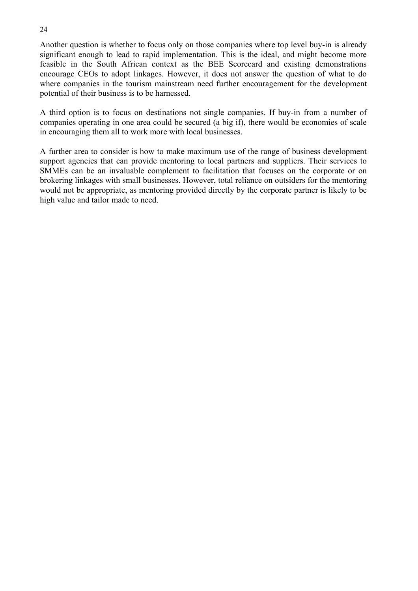Another question is whether to focus only on those companies where top level buy-in is already significant enough to lead to rapid implementation. This is the ideal, and might become more feasible in the South African context as the BEE Scorecard and existing demonstrations encourage CEOs to adopt linkages. However, it does not answer the question of what to do where companies in the tourism mainstream need further encouragement for the development potential of their business is to be harnessed.

A third option is to focus on destinations not single companies. If buy-in from a number of companies operating in one area could be secured (a big if), there would be economies of scale in encouraging them all to work more with local businesses.

A further area to consider is how to make maximum use of the range of business development support agencies that can provide mentoring to local partners and suppliers. Their services to SMMEs can be an invaluable complement to facilitation that focuses on the corporate or on brokering linkages with small businesses. However, total reliance on outsiders for the mentoring would not be appropriate, as mentoring provided directly by the corporate partner is likely to be high value and tailor made to need.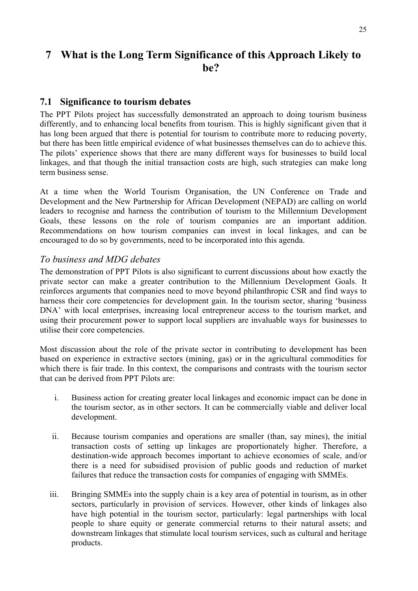## **7 What is the Long Term Significance of this Approach Likely to be?**

#### **7.1 Significance to tourism debates**

The PPT Pilots project has successfully demonstrated an approach to doing tourism business differently, and to enhancing local benefits from tourism. This is highly significant given that it has long been argued that there is potential for tourism to contribute more to reducing poverty, but there has been little empirical evidence of what businesses themselves can do to achieve this. The pilots' experience shows that there are many different ways for businesses to build local linkages, and that though the initial transaction costs are high, such strategies can make long term business sense.

At a time when the World Tourism Organisation, the UN Conference on Trade and Development and the New Partnership for African Development (NEPAD) are calling on world leaders to recognise and harness the contribution of tourism to the Millennium Development Goals, these lessons on the role of tourism companies are an important addition. Recommendations on how tourism companies can invest in local linkages, and can be encouraged to do so by governments, need to be incorporated into this agenda.

#### *To business and MDG debates*

The demonstration of PPT Pilots is also significant to current discussions about how exactly the private sector can make a greater contribution to the Millennium Development Goals. It reinforces arguments that companies need to move beyond philanthropic CSR and find ways to harness their core competencies for development gain. In the tourism sector, sharing 'business DNA' with local enterprises, increasing local entrepreneur access to the tourism market, and using their procurement power to support local suppliers are invaluable ways for businesses to utilise their core competencies.

Most discussion about the role of the private sector in contributing to development has been based on experience in extractive sectors (mining, gas) or in the agricultural commodities for which there is fair trade. In this context, the comparisons and contrasts with the tourism sector that can be derived from PPT Pilots are:

- i. Business action for creating greater local linkages and economic impact can be done in the tourism sector, as in other sectors. It can be commercially viable and deliver local development.
- ii. Because tourism companies and operations are smaller (than, say mines), the initial transaction costs of setting up linkages are proportionately higher. Therefore, a destination-wide approach becomes important to achieve economies of scale, and/or there is a need for subsidised provision of public goods and reduction of market failures that reduce the transaction costs for companies of engaging with SMMEs.
- iii. Bringing SMMEs into the supply chain is a key area of potential in tourism, as in other sectors, particularly in provision of services. However, other kinds of linkages also have high potential in the tourism sector, particularly: legal partnerships with local people to share equity or generate commercial returns to their natural assets; and downstream linkages that stimulate local tourism services, such as cultural and heritage products.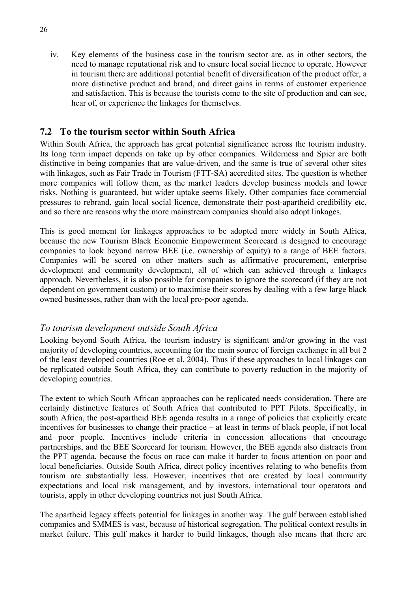iv. Key elements of the business case in the tourism sector are, as in other sectors, the need to manage reputational risk and to ensure local social licence to operate. However in tourism there are additional potential benefit of diversification of the product offer, a more distinctive product and brand, and direct gains in terms of customer experience and satisfaction. This is because the tourists come to the site of production and can see, hear of, or experience the linkages for themselves.

### **7.2 To the tourism sector within South Africa**

Within South Africa, the approach has great potential significance across the tourism industry. Its long term impact depends on take up by other companies. Wilderness and Spier are both distinctive in being companies that are value-driven, and the same is true of several other sites with linkages, such as Fair Trade in Tourism (FTT-SA) accredited sites. The question is whether more companies will follow them, as the market leaders develop business models and lower risks. Nothing is guaranteed, but wider uptake seems likely. Other companies face commercial pressures to rebrand, gain local social licence, demonstrate their post-apartheid credibility etc, and so there are reasons why the more mainstream companies should also adopt linkages.

This is good moment for linkages approaches to be adopted more widely in South Africa, because the new Tourism Black Economic Empowerment Scorecard is designed to encourage companies to look beyond narrow BEE (i.e. ownership of equity) to a range of BEE factors. Companies will be scored on other matters such as affirmative procurement, enterprise development and community development, all of which can achieved through a linkages approach. Nevertheless, it is also possible for companies to ignore the scorecard (if they are not dependent on government custom) or to maximise their scores by dealing with a few large black owned businesses, rather than with the local pro-poor agenda.

#### *To tourism development outside South Africa*

Looking beyond South Africa, the tourism industry is significant and/or growing in the vast majority of developing countries, accounting for the main source of foreign exchange in all but 2 of the least developed countries (Roe et al, 2004). Thus if these approaches to local linkages can be replicated outside South Africa, they can contribute to poverty reduction in the majority of developing countries.

The extent to which South African approaches can be replicated needs consideration. There are certainly distinctive features of South Africa that contributed to PPT Pilots. Specifically, in south Africa, the post-apartheid BEE agenda results in a range of policies that explicitly create incentives for businesses to change their practice – at least in terms of black people, if not local and poor people. Incentives include criteria in concession allocations that encourage partnerships, and the BEE Scorecard for tourism. However, the BEE agenda also distracts from the PPT agenda, because the focus on race can make it harder to focus attention on poor and local beneficiaries. Outside South Africa, direct policy incentives relating to who benefits from tourism are substantially less. However, incentives that are created by local community expectations and local risk management, and by investors, international tour operators and tourists, apply in other developing countries not just South Africa.

The apartheid legacy affects potential for linkages in another way. The gulf between established companies and SMMES is vast, because of historical segregation. The political context results in market failure. This gulf makes it harder to build linkages, though also means that there are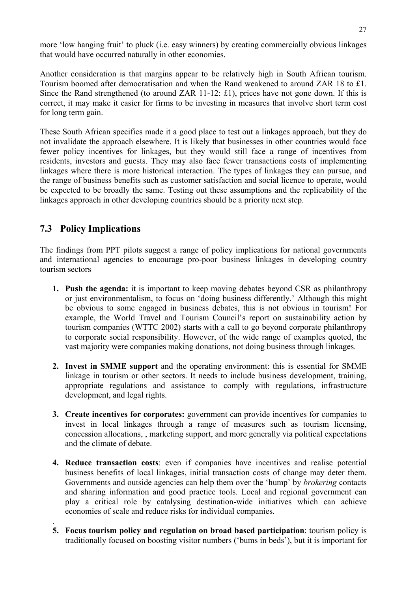more 'low hanging fruit' to pluck (i.e. easy winners) by creating commercially obvious linkages that would have occurred naturally in other economies.

Another consideration is that margins appear to be relatively high in South African tourism. Tourism boomed after democratisation and when the Rand weakened to around ZAR 18 to £1. Since the Rand strengthened (to around ZAR 11-12: £1), prices have not gone down. If this is correct, it may make it easier for firms to be investing in measures that involve short term cost for long term gain.

These South African specifics made it a good place to test out a linkages approach, but they do not invalidate the approach elsewhere. It is likely that businesses in other countries would face fewer policy incentives for linkages, but they would still face a range of incentives from residents, investors and guests. They may also face fewer transactions costs of implementing linkages where there is more historical interaction. The types of linkages they can pursue, and the range of business benefits such as customer satisfaction and social licence to operate, would be expected to be broadly the same. Testing out these assumptions and the replicability of the linkages approach in other developing countries should be a priority next step.

## **7.3 Policy Implications**

.

The findings from PPT pilots suggest a range of policy implications for national governments and international agencies to encourage pro-poor business linkages in developing country tourism sectors

- **1. Push the agenda:** it is important to keep moving debates beyond CSR as philanthropy or just environmentalism, to focus on 'doing business differently.' Although this might be obvious to some engaged in business debates, this is not obvious in tourism! For example, the World Travel and Tourism Council's report on sustainability action by tourism companies (WTTC 2002) starts with a call to go beyond corporate philanthropy to corporate social responsibility. However, of the wide range of examples quoted, the vast majority were companies making donations, not doing business through linkages.
- **2. Invest in SMME support** and the operating environment: this is essential for SMME linkage in tourism or other sectors. It needs to include business development, training, appropriate regulations and assistance to comply with regulations, infrastructure development, and legal rights.
- **3. Create incentives for corporates:** government can provide incentives for companies to invest in local linkages through a range of measures such as tourism licensing, concession allocations, , marketing support, and more generally via political expectations and the climate of debate.
- **4. Reduce transaction costs**: even if companies have incentives and realise potential business benefits of local linkages, initial transaction costs of change may deter them. Governments and outside agencies can help them over the 'hump' by *brokering* contacts and sharing information and good practice tools. Local and regional government can play a critical role by catalysing destination-wide initiatives which can achieve economies of scale and reduce risks for individual companies.
- **5. Focus tourism policy and regulation on broad based participation**: tourism policy is traditionally focused on boosting visitor numbers ('bums in beds'), but it is important for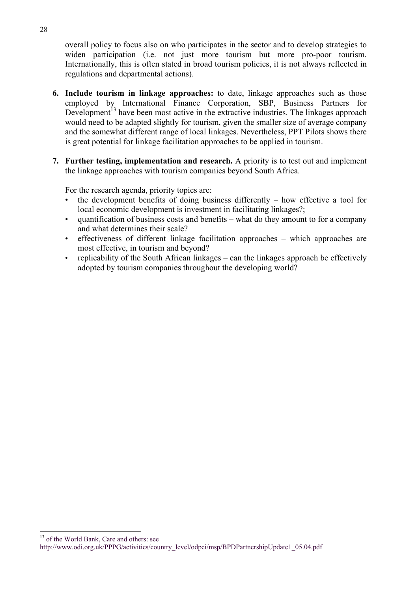overall policy to focus also on who participates in the sector and to develop strategies to widen participation (i.e. not just more tourism but more pro-poor tourism. Internationally, this is often stated in broad tourism policies, it is not always reflected in regulations and departmental actions).

- **6. Include tourism in linkage approaches:** to date, linkage approaches such as those employed by International Finance Corporation, SBP, Business Partners for Development<sup> $13$ </sup> have been most active in the extractive industries. The linkages approach would need to be adapted slightly for tourism, given the smaller size of average company and the somewhat different range of local linkages. Nevertheless, PPT Pilots shows there is great potential for linkage facilitation approaches to be applied in tourism.
- **7. Further testing, implementation and research.** A priority is to test out and implement the linkage approaches with tourism companies beyond South Africa.

For the research agenda, priority topics are:

- the development benefits of doing business differently  $-$  how effective a tool for local economic development is investment in facilitating linkages?;
- quantification of business costs and benefits what do they amount to for a company and what determines their scale?
- effectiveness of different linkage facilitation approaches which approaches are most effective, in tourism and beyond?
- replicability of the South African linkages can the linkages approach be effectively adopted by tourism companies throughout the developing world?

http://www.odi.org.uk/PPPG/activities/country\_level/odpci/msp/BPDPartnershipUpdate1\_05.04.pdf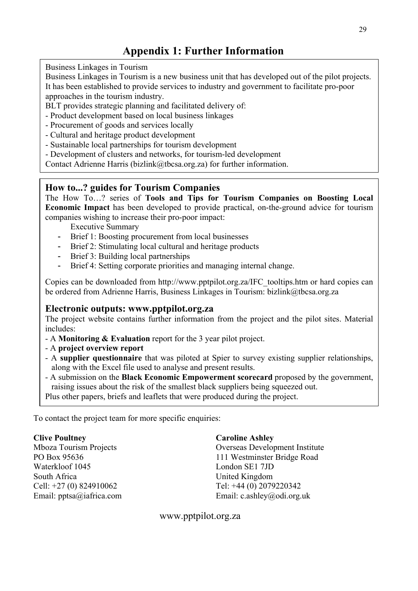## **Appendix 1: Further Information**

Business Linkages in Tourism

Business Linkages in Tourism is a new business unit that has developed out of the pilot projects. It has been established to provide services to industry and government to facilitate pro-poor approaches in the tourism industry.

BLT provides strategic planning and facilitated delivery of:

- Product development based on local business linkages
- Procurement of goods and services locally
- Cultural and heritage product development
- Sustainable local partnerships for tourism development
- Development of clusters and networks, for tourism-led development

Contact Adrienne Harris (bizlink@tbcsa.org.za) for further information.

#### **How to...? guides for Tourism Companies**

The How To…? series of **Tools and Tips for Tourism Companies on Boosting Local Economic Impact** has been developed to provide practical, on-the-ground advice for tourism companies wishing to increase their pro-poor impact:

Executive Summary

- Brief 1: Boosting procurement from local businesses
- Brief 2: Stimulating local cultural and heritage products
- Brief 3: Building local partnerships
- Brief 4: Setting corporate priorities and managing internal change.

Copies can be downloaded from http://www.pptpilot.org.za/IFC\_tooltips.htm or hard copies can be ordered from Adrienne Harris, Business Linkages in Tourism: bizlink@tbcsa.org.za

#### **Electronic outputs: www.pptpilot.org.za**

The project website contains further information from the project and the pilot sites. Material includes:

- A **Monitoring & Evaluation** report for the 3 year pilot project.
- A **project overview report**
- A **supplier questionnaire** that was piloted at Spier to survey existing supplier relationships, along with the Excel file used to analyse and present results.
- A submission on the **Black Economic Empowerment scorecard** proposed by the government, raising issues about the risk of the smallest black suppliers being squeezed out. Plus other papers, briefs and leaflets that were produced during the project.

To contact the project team for more specific enquiries:

**Clive Poultney** Mboza Tourism Projects PO Box 95636 Waterkloof 1045 South Africa Cell: +27 (0) 824910062 Email: pptsa@iafrica.com

#### **Caroline Ashley**

Overseas Development Institute 111 Westminster Bridge Road London SE1 7JD United Kingdom Tel: +44 (0) 2079220342 Email: c.ashley@odi.org.uk

www.pptpilot.org.za